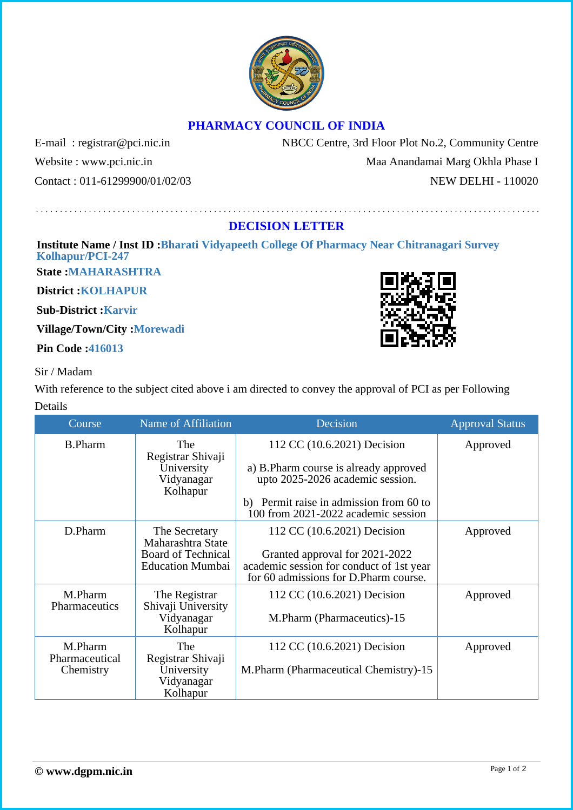## **PHARMACY COUNCIL OF INDIA**

E-mail: registrar@pci.nic.in NBCC Centre, 3rd Floor Plot No.2, Community Centre Website : www.pci.nic.in Maa Anandamai Marg Okhla Phase I Contact : 011-61299900/01/02/03 NEW DELHI - 110020

## **DECISION LETTER**

## **Institute Name / Inst ID :Bharati Vidyapeeth College Of Pharmacy Near Chitranagari Survey Kolhapur/PCI-247**

**State :MAHARASHTRA**

**District :KOLHAPUR**

**Sub-District :Karvir**

**Village/Town/City :Morewadi**

**Pin Code :416013**

## Sir / Madam

With reference to the subject cited above i am directed to convey the approval of PCI as per Following Details

| Course                                 | Name of Affiliation                                              | Decision                                                                                                            | <b>Approval Status</b> |
|----------------------------------------|------------------------------------------------------------------|---------------------------------------------------------------------------------------------------------------------|------------------------|
| <b>B.Pharm</b>                         | The<br>Registrar Shivaji<br>University<br>Vidyanagar<br>Kolhapur | 112 CC (10.6.2021) Decision                                                                                         | Approved               |
|                                        |                                                                  | a) B.Pharm course is already approved<br>upto 2025-2026 academic session.                                           |                        |
|                                        |                                                                  | b) Permit raise in admission from 60 to<br>100 from 2021-2022 academic session                                      |                        |
| D.Pharm                                | The Secretary<br>Maharashtra State                               | 112 CC (10.6.2021) Decision                                                                                         | Approved               |
|                                        | <b>Board of Technical</b><br><b>Education Mumbai</b>             | Granted approval for 2021-2022<br>academic session for conduct of 1st year<br>for 60 admissions for D.Pharm course. |                        |
| M.Pharm<br>Pharmaceutics               | The Registrar<br>Shivaji University<br>Vidyanagar<br>Kolhapur    | 112 CC (10.6.2021) Decision<br>M.Pharm (Pharmaceutics)-15                                                           | Approved               |
| M.Pharm<br>Pharmaceutical<br>Chemistry | The<br>Registrar Shivaji<br>University<br>Vidyanagar<br>Kolhapur | 112 CC (10.6.2021) Decision<br>M.Pharm (Pharmaceutical Chemistry)-15                                                | Approved               |